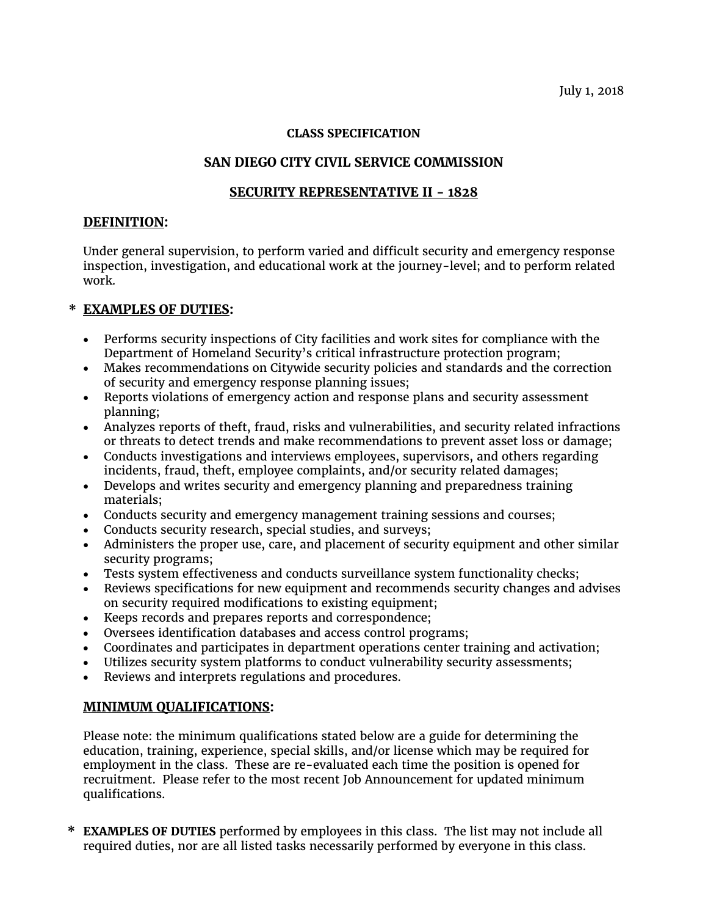#### **CLASS SPECIFICATION**

## **SAN DIEGO CITY CIVIL SERVICE COMMISSION**

## **SECURITY REPRESENTATIVE II - 1828**

#### **DEFINITION:**

Under general supervision, to perform varied and difficult security and emergency response inspection, investigation, and educational work at the journey-level; and to perform related work.

# **\* EXAMPLES OF DUTIES:**

- Performs security inspections of City facilities and work sites for compliance with the Department of Homeland Security's critical infrastructure protection program;
- Makes recommendations on Citywide security policies and standards and the correction of security and emergency response planning issues;
- Reports violations of emergency action and response plans and security assessment planning;
- Analyzes reports of theft, fraud, risks and vulnerabilities, and security related infractions or threats to detect trends and make recommendations to prevent asset loss or damage;
- Conducts investigations and interviews employees, supervisors, and others regarding incidents, fraud, theft, employee complaints, and/or security related damages;
- Develops and writes security and emergency planning and preparedness training materials;
- Conducts security and emergency management training sessions and courses;
- Conducts security research, special studies, and surveys;
- Administers the proper use, care, and placement of security equipment and other similar security programs;
- Tests system effectiveness and conducts surveillance system functionality checks;
- Reviews specifications for new equipment and recommends security changes and advises on security required modifications to existing equipment;
- Keeps records and prepares reports and correspondence;
- Oversees identification databases and access control programs;
- Coordinates and participates in department operations center training and activation;
- Utilizes security system platforms to conduct vulnerability security assessments;
- Reviews and interprets regulations and procedures.

### **MINIMUM QUALIFICATIONS:**

Please note: the minimum qualifications stated below are a guide for determining the education, training, experience, special skills, and/or license which may be required for employment in the class. These are re-evaluated each time the position is opened for recruitment. Please refer to the most recent Job Announcement for updated minimum qualifications.

**\* EXAMPLES OF DUTIES** performed by employees in this class. The list may not include all required duties, nor are all listed tasks necessarily performed by everyone in this class.